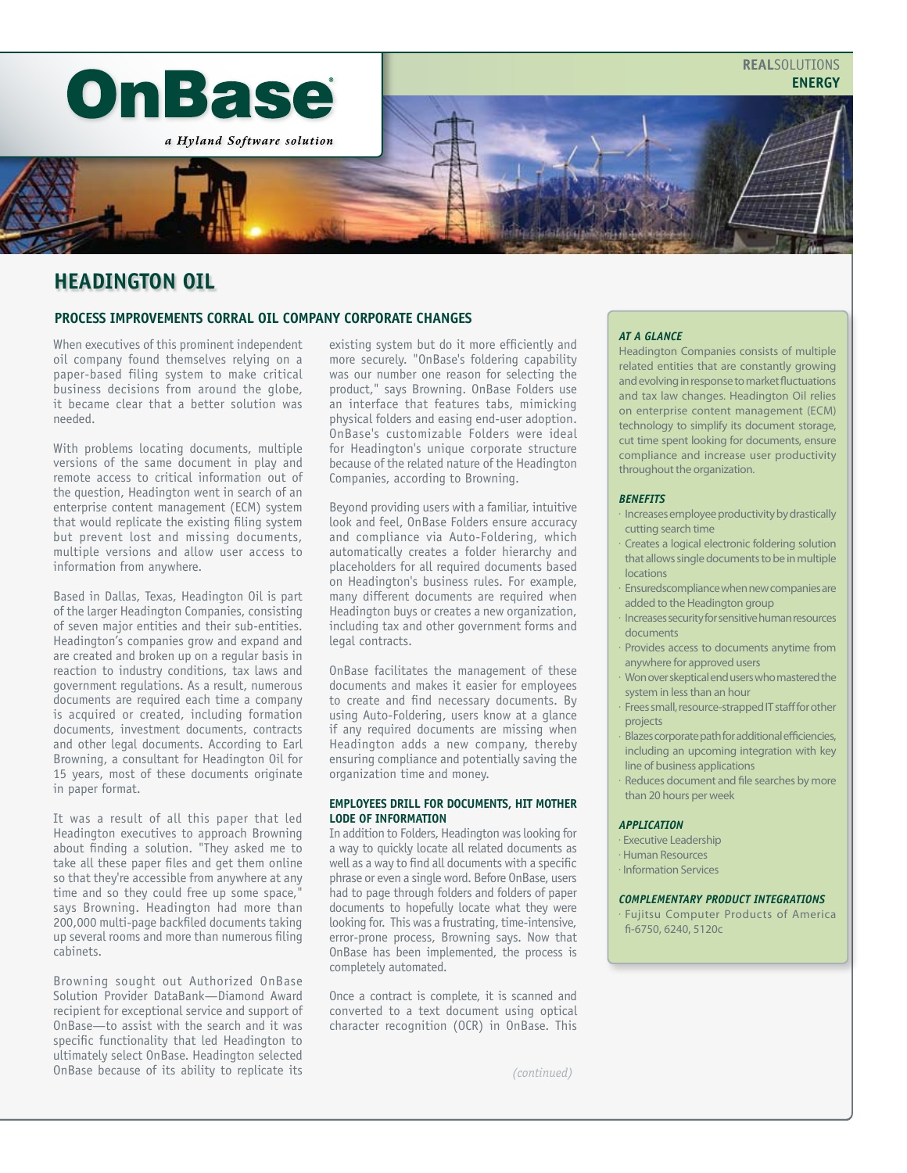

# **HEADINGTON OIL**

## **PROCESS IMPROVEMENTS CORRAL OIL COMPANY CORPORATE CHANGES**

When executives of this prominent independent oil company found themselves relying on a paper-based filing system to make critical business decisions from around the globe, it became clear that a better solution was needed.

With problems locating documents, multiple versions of the same document in play and remote access to critical information out of the question, Headington went in search of an enterprise content management (ECM) system that would replicate the existing filing system but prevent lost and missing documents, multiple versions and allow user access to information from anywhere.

Based in Dallas, Texas, Headington Oil is part of the larger Headington Companies, consisting of seven major entities and their sub-entities. Headington's companies grow and expand and are created and broken up on a regular basis in reaction to industry conditions, tax laws and government regulations. As a result, numerous documents are required each time a company is acquired or created, including formation documents, investment documents, contracts and other legal documents. According to Earl Browning, a consultant for Headington Oil for 15 years, most of these documents originate in paper format.

It was a result of all this paper that led Headington executives to approach Browning about finding a solution. "They asked me to take all these paper files and get them online so that they're accessible from anywhere at any time and so they could free up some space," says Browning. Headington had more than 200,000 multi-page backfiled documents taking up several rooms and more than numerous filing cabinets.

Browning sought out Authorized OnBase Solution Provider DataBank—Diamond Award recipient for exceptional service and support of OnBase—to assist with the search and it was specific functionality that led Headington to ultimately select OnBase. Headington selected OnBase because of its ability to replicate its

existing system but do it more efficiently and more securely. "OnBase's foldering capability was our number one reason for selecting the product," says Browning. OnBase Folders use an interface that features tabs, mimicking physical folders and easing end-user adoption. OnBase's customizable Folders were ideal for Headington's unique corporate structure because of the related nature of the Headington Companies, according to Browning.

Beyond providing users with a familiar, intuitive look and feel, OnBase Folders ensure accuracy and compliance via Auto-Foldering, which automatically creates a folder hierarchy and placeholders for all required documents based on Headington's business rules. For example, many different documents are required when Headington buys or creates a new organization, including tax and other government forms and legal contracts.

OnBase facilitates the management of these documents and makes it easier for employees to create and find necessary documents. By using Auto-Foldering, users know at a glance if any required documents are missing when Headington adds a new company, thereby ensuring compliance and potentially saving the organization time and money.

## **EMPLOYEES DRILL FOR DOCUMENTS, HIT MOTHER LODE OF INFORMATION**

In addition to Folders, Headington was looking for a way to quickly locate all related documents as well as a way to find all documents with a specific phrase or even a single word. Before OnBase, users had to page through folders and folders of paper documents to hopefully locate what they were looking for. This was a frustrating, time-intensive, error-prone process, Browning says. Now that OnBase has been implemented, the process is completely automated.

Once a contract is complete, it is scanned and converted to a text document using optical character recognition (OCR) in OnBase. This

## *AT A GLANCE*

Headington Companies consists of multiple related entities that are constantly growing and evolving in response to market fluctuations and tax law changes. Headington Oil relies on enterprise content management (ECM) technology to simplify its document storage, cut time spent looking for documents, ensure compliance and increase user productivity throughout the organization.

## *BENEFITS*

- Increases employee productivity by drastically cutting search time
- Creates a logical electronic foldering solution that allows single documents to be in multiple locations
- Ensuredscompliance when new companies are added to the Headington group
- Increases security for sensitive human resources documents
- Provides access to documents anytime from anywhere for approved users
- Won over skeptical end users who mastered the system in less than an hour
- Frees small, resource-strapped IT staff for other projects
- Blazes corporate path for additional efficiencies, including an upcoming integration with key line of business applications
- Reduces document and file searches by more than 20 hours per week

### *APPLICATION*

- Executive Leadership
- Human Resources
- Information Services

### *COMPLEMENTARY PRODUCT INTEGRATIONS*

• Fujitsu Computer Products of America fi-6750, 6240, 5120c

*(continued)*